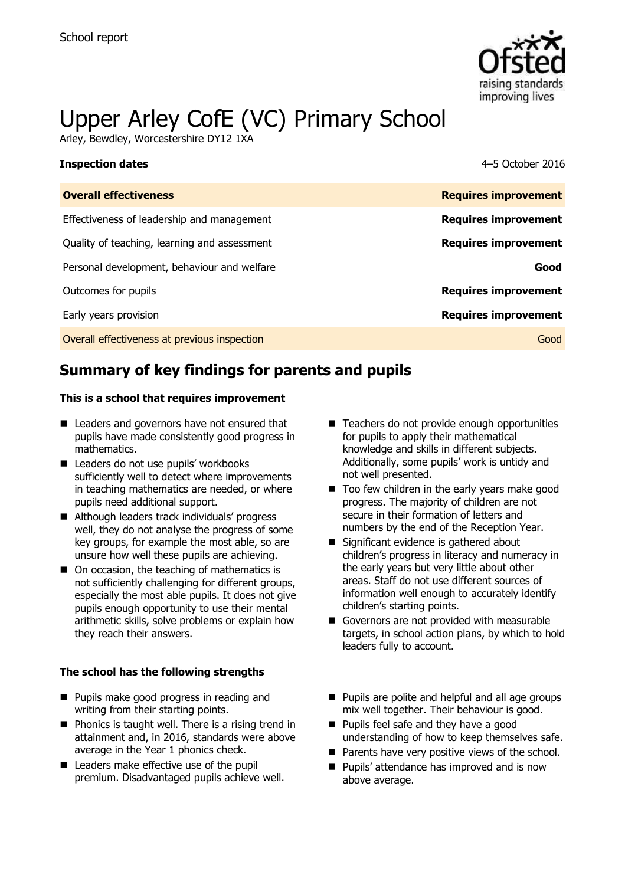

# Upper Arley CofE (VC) Primary School

Arley, Bewdley, Worcestershire DY12 1XA

### **Inspection dates** 4–5 October 2016

| <b>Overall effectiveness</b>                 | <b>Requires improvement</b> |
|----------------------------------------------|-----------------------------|
| Effectiveness of leadership and management   | <b>Requires improvement</b> |
| Quality of teaching, learning and assessment | <b>Requires improvement</b> |
| Personal development, behaviour and welfare  | Good                        |
| Outcomes for pupils                          | <b>Requires improvement</b> |
| Early years provision                        | <b>Requires improvement</b> |
| Overall effectiveness at previous inspection | Good                        |

# **Summary of key findings for parents and pupils**

### **This is a school that requires improvement**

- Leaders and governors have not ensured that pupils have made consistently good progress in mathematics.
- Leaders do not use pupils' workbooks sufficiently well to detect where improvements in teaching mathematics are needed, or where pupils need additional support.
- Although leaders track individuals' progress well, they do not analyse the progress of some key groups, for example the most able, so are unsure how well these pupils are achieving.
- On occasion, the teaching of mathematics is not sufficiently challenging for different groups, especially the most able pupils. It does not give pupils enough opportunity to use their mental arithmetic skills, solve problems or explain how they reach their answers.

### **The school has the following strengths**

- **Pupils make good progress in reading and** writing from their starting points.
- $\blacksquare$  Phonics is taught well. There is a rising trend in attainment and, in 2016, standards were above average in the Year 1 phonics check.
- Leaders make effective use of the pupil premium. Disadvantaged pupils achieve well.
- Teachers do not provide enough opportunities for pupils to apply their mathematical knowledge and skills in different subjects. Additionally, some pupils' work is untidy and not well presented.
- $\blacksquare$  Too few children in the early years make good progress. The majority of children are not secure in their formation of letters and numbers by the end of the Reception Year.
- Significant evidence is gathered about children's progress in literacy and numeracy in the early years but very little about other areas. Staff do not use different sources of information well enough to accurately identify children's starting points.
- Governors are not provided with measurable targets, in school action plans, by which to hold leaders fully to account.
- **Pupils are polite and helpful and all age groups** mix well together. Their behaviour is good.
- **Pupils feel safe and they have a good** understanding of how to keep themselves safe.
- $\blacksquare$  Parents have very positive views of the school.
- **Pupils' attendance has improved and is now** above average.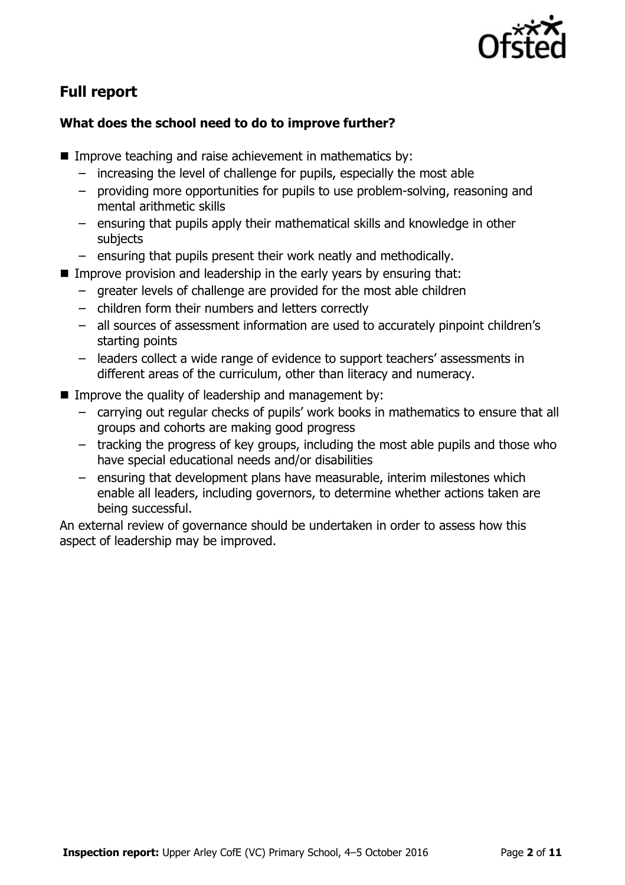

# **Full report**

### **What does the school need to do to improve further?**

- Improve teaching and raise achievement in mathematics by:
	- increasing the level of challenge for pupils, especially the most able
	- providing more opportunities for pupils to use problem-solving, reasoning and mental arithmetic skills
	- ensuring that pupils apply their mathematical skills and knowledge in other subjects
	- ensuring that pupils present their work neatly and methodically.
- Improve provision and leadership in the early years by ensuring that:
	- greater levels of challenge are provided for the most able children
	- children form their numbers and letters correctly
	- all sources of assessment information are used to accurately pinpoint children's starting points
	- leaders collect a wide range of evidence to support teachers' assessments in different areas of the curriculum, other than literacy and numeracy.
- **IMPROVE the quality of leadership and management by:** 
	- carrying out regular checks of pupils' work books in mathematics to ensure that all groups and cohorts are making good progress
	- tracking the progress of key groups, including the most able pupils and those who have special educational needs and/or disabilities
	- ensuring that development plans have measurable, interim milestones which enable all leaders, including governors, to determine whether actions taken are being successful.

An external review of governance should be undertaken in order to assess how this aspect of leadership may be improved.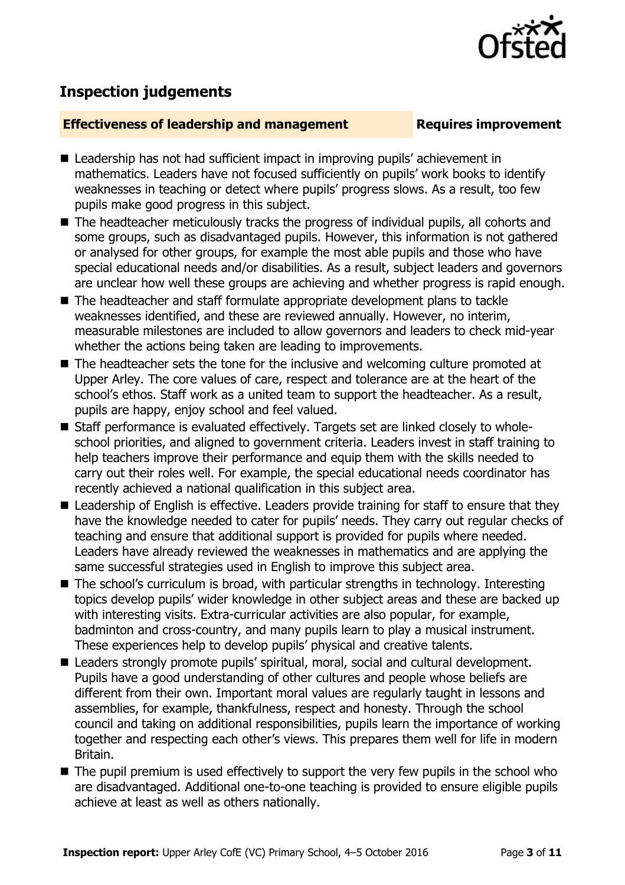

# **Inspection judgements**

### **Effectiveness of leadership and management Requires improvement**

- Leadership has not had sufficient impact in improving pupils' achievement in mathematics. Leaders have not focused sufficiently on pupils' work books to identify weaknesses in teaching or detect where pupils' progress slows. As a result, too few pupils make good progress in this subject.
- The headteacher meticulously tracks the progress of individual pupils, all cohorts and some groups, such as disadvantaged pupils. However, this information is not gathered or analysed for other groups, for example the most able pupils and those who have special educational needs and/or disabilities. As a result, subject leaders and governors are unclear how well these groups are achieving and whether progress is rapid enough.
- The headteacher and staff formulate appropriate development plans to tackle weaknesses identified, and these are reviewed annually. However, no interim, measurable milestones are included to allow governors and leaders to check mid-year whether the actions being taken are leading to improvements.
- The headteacher sets the tone for the inclusive and welcoming culture promoted at Upper Arley. The core values of care, respect and tolerance are at the heart of the school's ethos. Staff work as a united team to support the headteacher. As a result, pupils are happy, enjoy school and feel valued.
- Staff performance is evaluated effectively. Targets set are linked closely to wholeschool priorities, and aligned to government criteria. Leaders invest in staff training to help teachers improve their performance and equip them with the skills needed to carry out their roles well. For example, the special educational needs coordinator has recently achieved a national qualification in this subject area.
- Leadership of English is effective. Leaders provide training for staff to ensure that they have the knowledge needed to cater for pupils' needs. They carry out regular checks of teaching and ensure that additional support is provided for pupils where needed. Leaders have already reviewed the weaknesses in mathematics and are applying the same successful strategies used in English to improve this subject area.
- The school's curriculum is broad, with particular strengths in technology. Interesting topics develop pupils' wider knowledge in other subject areas and these are backed up with interesting visits. Extra-curricular activities are also popular, for example, badminton and cross-country, and many pupils learn to play a musical instrument. These experiences help to develop pupils' physical and creative talents.
- Leaders strongly promote pupils' spiritual, moral, social and cultural development. Pupils have a good understanding of other cultures and people whose beliefs are different from their own. Important moral values are regularly taught in lessons and assemblies, for example, thankfulness, respect and honesty. Through the school council and taking on additional responsibilities, pupils learn the importance of working together and respecting each other's views. This prepares them well for life in modern Britain.
- The pupil premium is used effectively to support the very few pupils in the school who are disadvantaged. Additional one-to-one teaching is provided to ensure eligible pupils achieve at least as well as others nationally.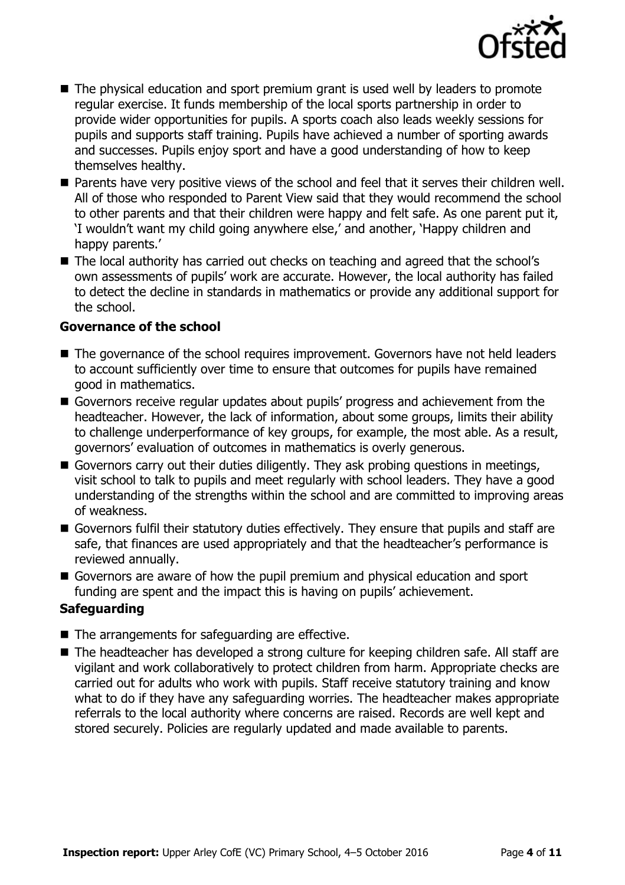

- The physical education and sport premium grant is used well by leaders to promote regular exercise. It funds membership of the local sports partnership in order to provide wider opportunities for pupils. A sports coach also leads weekly sessions for pupils and supports staff training. Pupils have achieved a number of sporting awards and successes. Pupils enjoy sport and have a good understanding of how to keep themselves healthy.
- **Parents have very positive views of the school and feel that it serves their children well.** All of those who responded to Parent View said that they would recommend the school to other parents and that their children were happy and felt safe. As one parent put it, 'I wouldn't want my child going anywhere else,' and another, 'Happy children and happy parents.'
- The local authority has carried out checks on teaching and agreed that the school's own assessments of pupils' work are accurate. However, the local authority has failed to detect the decline in standards in mathematics or provide any additional support for the school.

### **Governance of the school**

- The governance of the school requires improvement. Governors have not held leaders to account sufficiently over time to ensure that outcomes for pupils have remained good in mathematics.
- Governors receive regular updates about pupils' progress and achievement from the headteacher. However, the lack of information, about some groups, limits their ability to challenge underperformance of key groups, for example, the most able. As a result, governors' evaluation of outcomes in mathematics is overly generous.
- Governors carry out their duties diligently. They ask probing questions in meetings, visit school to talk to pupils and meet regularly with school leaders. They have a good understanding of the strengths within the school and are committed to improving areas of weakness.
- Governors fulfil their statutory duties effectively. They ensure that pupils and staff are safe, that finances are used appropriately and that the headteacher's performance is reviewed annually.
- Governors are aware of how the pupil premium and physical education and sport funding are spent and the impact this is having on pupils' achievement.

### **Safeguarding**

- $\blacksquare$  The arrangements for safeguarding are effective.
- The headteacher has developed a strong culture for keeping children safe. All staff are vigilant and work collaboratively to protect children from harm. Appropriate checks are carried out for adults who work with pupils. Staff receive statutory training and know what to do if they have any safeguarding worries. The headteacher makes appropriate referrals to the local authority where concerns are raised. Records are well kept and stored securely. Policies are regularly updated and made available to parents.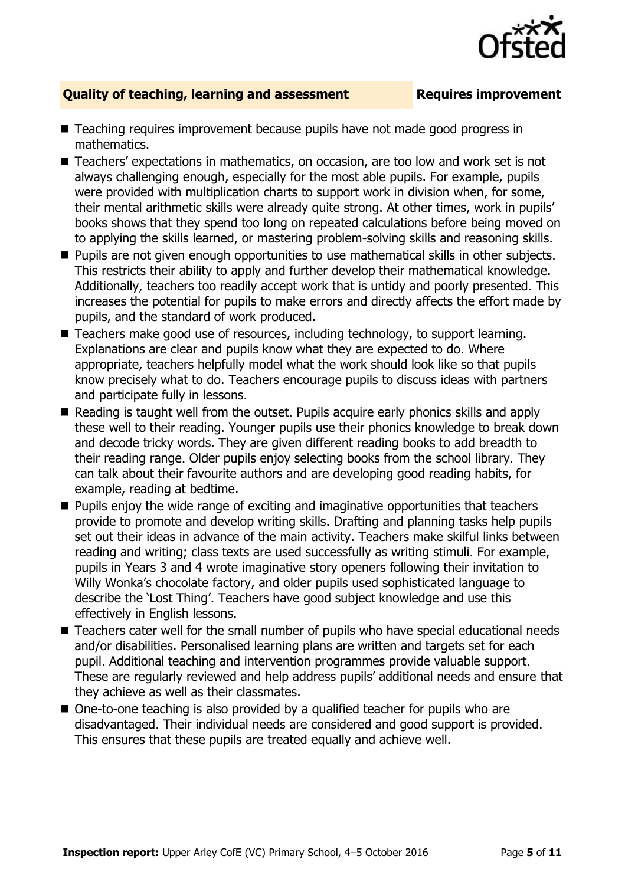### **Quality of teaching, learning and assessment Fig. 2.1 Requires improvement**

- Teaching requires improvement because pupils have not made good progress in mathematics.
- Teachers' expectations in mathematics, on occasion, are too low and work set is not always challenging enough, especially for the most able pupils. For example, pupils were provided with multiplication charts to support work in division when, for some, their mental arithmetic skills were already quite strong. At other times, work in pupils' books shows that they spend too long on repeated calculations before being moved on to applying the skills learned, or mastering problem-solving skills and reasoning skills.
- **Pupils are not given enough opportunities to use mathematical skills in other subjects.** This restricts their ability to apply and further develop their mathematical knowledge. Additionally, teachers too readily accept work that is untidy and poorly presented. This increases the potential for pupils to make errors and directly affects the effort made by pupils, and the standard of work produced.
- Teachers make good use of resources, including technology, to support learning. Explanations are clear and pupils know what they are expected to do. Where appropriate, teachers helpfully model what the work should look like so that pupils know precisely what to do. Teachers encourage pupils to discuss ideas with partners and participate fully in lessons.
- Reading is taught well from the outset. Pupils acquire early phonics skills and apply these well to their reading. Younger pupils use their phonics knowledge to break down and decode tricky words. They are given different reading books to add breadth to their reading range. Older pupils enjoy selecting books from the school library. They can talk about their favourite authors and are developing good reading habits, for example, reading at bedtime.
- **Pupils enjoy the wide range of exciting and imaginative opportunities that teachers** provide to promote and develop writing skills. Drafting and planning tasks help pupils set out their ideas in advance of the main activity. Teachers make skilful links between reading and writing; class texts are used successfully as writing stimuli. For example, pupils in Years 3 and 4 wrote imaginative story openers following their invitation to Willy Wonka's chocolate factory, and older pupils used sophisticated language to describe the 'Lost Thing'. Teachers have good subject knowledge and use this effectively in English lessons.
- Teachers cater well for the small number of pupils who have special educational needs and/or disabilities. Personalised learning plans are written and targets set for each pupil. Additional teaching and intervention programmes provide valuable support. These are regularly reviewed and help address pupils' additional needs and ensure that they achieve as well as their classmates.
- One-to-one teaching is also provided by a qualified teacher for pupils who are disadvantaged. Their individual needs are considered and good support is provided. This ensures that these pupils are treated equally and achieve well.

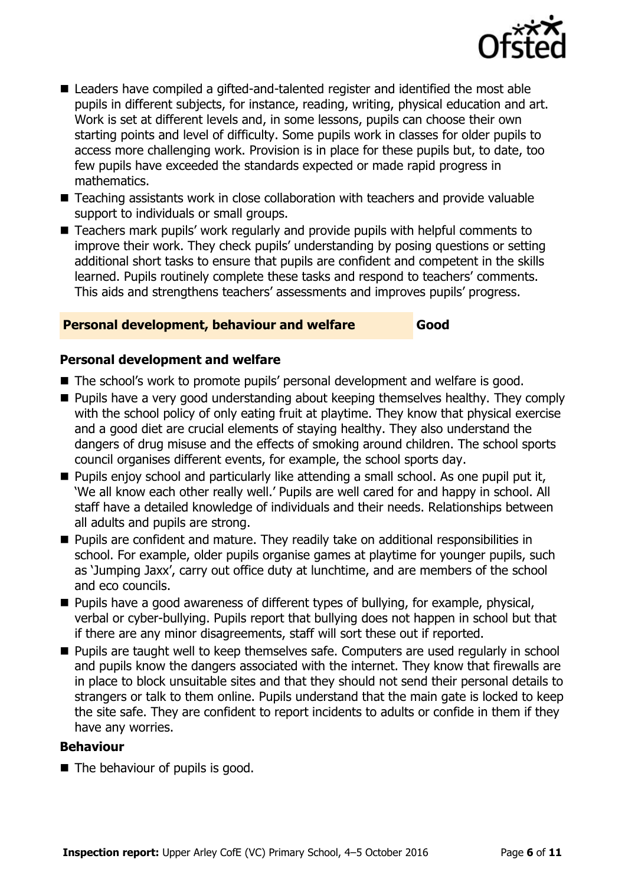

- Leaders have compiled a gifted-and-talented register and identified the most able pupils in different subjects, for instance, reading, writing, physical education and art. Work is set at different levels and, in some lessons, pupils can choose their own starting points and level of difficulty. Some pupils work in classes for older pupils to access more challenging work. Provision is in place for these pupils but, to date, too few pupils have exceeded the standards expected or made rapid progress in mathematics.
- Teaching assistants work in close collaboration with teachers and provide valuable support to individuals or small groups.
- Teachers mark pupils' work regularly and provide pupils with helpful comments to improve their work. They check pupils' understanding by posing questions or setting additional short tasks to ensure that pupils are confident and competent in the skills learned. Pupils routinely complete these tasks and respond to teachers' comments. This aids and strengthens teachers' assessments and improves pupils' progress.

### **Personal development, behaviour and welfare Good**

### **Personal development and welfare**

- The school's work to promote pupils' personal development and welfare is good.
- **Pupils have a very good understanding about keeping themselves healthy. They comply** with the school policy of only eating fruit at playtime. They know that physical exercise and a good diet are crucial elements of staying healthy. They also understand the dangers of drug misuse and the effects of smoking around children. The school sports council organises different events, for example, the school sports day.
- **Pupils enjoy school and particularly like attending a small school. As one pupil put it,** 'We all know each other really well.' Pupils are well cared for and happy in school. All staff have a detailed knowledge of individuals and their needs. Relationships between all adults and pupils are strong.
- **Pupils are confident and mature. They readily take on additional responsibilities in** school. For example, older pupils organise games at playtime for younger pupils, such as 'Jumping Jaxx', carry out office duty at lunchtime, and are members of the school and eco councils.
- **Pupils have a good awareness of different types of bullying, for example, physical,** verbal or cyber-bullying. Pupils report that bullying does not happen in school but that if there are any minor disagreements, staff will sort these out if reported.
- **Pupils are taught well to keep themselves safe. Computers are used regularly in school** and pupils know the dangers associated with the internet. They know that firewalls are in place to block unsuitable sites and that they should not send their personal details to strangers or talk to them online. Pupils understand that the main gate is locked to keep the site safe. They are confident to report incidents to adults or confide in them if they have any worries.

### **Behaviour**

■ The behaviour of pupils is good.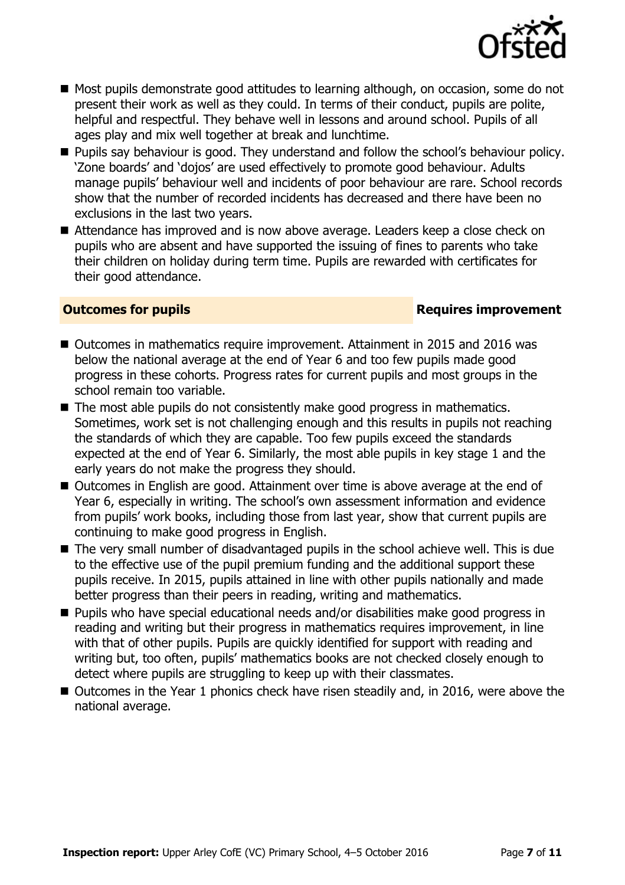

- Most pupils demonstrate good attitudes to learning although, on occasion, some do not present their work as well as they could. In terms of their conduct, pupils are polite, helpful and respectful. They behave well in lessons and around school. Pupils of all ages play and mix well together at break and lunchtime.
- **Pupils say behaviour is good. They understand and follow the school's behaviour policy.** 'Zone boards' and 'dojos' are used effectively to promote good behaviour. Adults manage pupils' behaviour well and incidents of poor behaviour are rare. School records show that the number of recorded incidents has decreased and there have been no exclusions in the last two years.
- Attendance has improved and is now above average. Leaders keep a close check on pupils who are absent and have supported the issuing of fines to parents who take their children on holiday during term time. Pupils are rewarded with certificates for their good attendance.

### **Outcomes for pupils Requires improvement**

- Outcomes in mathematics require improvement. Attainment in 2015 and 2016 was below the national average at the end of Year 6 and too few pupils made good progress in these cohorts. Progress rates for current pupils and most groups in the school remain too variable.
- The most able pupils do not consistently make good progress in mathematics. Sometimes, work set is not challenging enough and this results in pupils not reaching the standards of which they are capable. Too few pupils exceed the standards expected at the end of Year 6. Similarly, the most able pupils in key stage 1 and the early years do not make the progress they should.
- Outcomes in English are good. Attainment over time is above average at the end of Year 6, especially in writing. The school's own assessment information and evidence from pupils' work books, including those from last year, show that current pupils are continuing to make good progress in English.
- The very small number of disadvantaged pupils in the school achieve well. This is due to the effective use of the pupil premium funding and the additional support these pupils receive. In 2015, pupils attained in line with other pupils nationally and made better progress than their peers in reading, writing and mathematics.
- Pupils who have special educational needs and/or disabilities make good progress in reading and writing but their progress in mathematics requires improvement, in line with that of other pupils. Pupils are quickly identified for support with reading and writing but, too often, pupils' mathematics books are not checked closely enough to detect where pupils are struggling to keep up with their classmates.
- Outcomes in the Year 1 phonics check have risen steadily and, in 2016, were above the national average.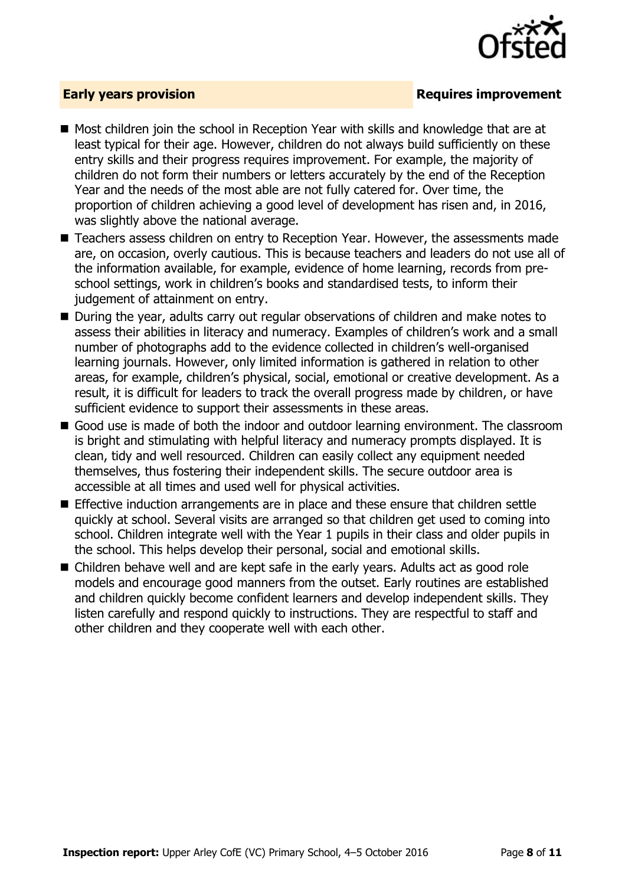

### **Early years provision**

- Most children join the school in Reception Year with skills and knowledge that are at least typical for their age. However, children do not always build sufficiently on these entry skills and their progress requires improvement. For example, the majority of children do not form their numbers or letters accurately by the end of the Reception Year and the needs of the most able are not fully catered for. Over time, the proportion of children achieving a good level of development has risen and, in 2016, was slightly above the national average.
- Teachers assess children on entry to Reception Year. However, the assessments made are, on occasion, overly cautious. This is because teachers and leaders do not use all of the information available, for example, evidence of home learning, records from preschool settings, work in children's books and standardised tests, to inform their judgement of attainment on entry.
- During the year, adults carry out regular observations of children and make notes to assess their abilities in literacy and numeracy. Examples of children's work and a small number of photographs add to the evidence collected in children's well-organised learning journals. However, only limited information is gathered in relation to other areas, for example, children's physical, social, emotional or creative development. As a result, it is difficult for leaders to track the overall progress made by children, or have sufficient evidence to support their assessments in these areas.
- Good use is made of both the indoor and outdoor learning environment. The classroom is bright and stimulating with helpful literacy and numeracy prompts displayed. It is clean, tidy and well resourced. Children can easily collect any equipment needed themselves, thus fostering their independent skills. The secure outdoor area is accessible at all times and used well for physical activities.
- Effective induction arrangements are in place and these ensure that children settle quickly at school. Several visits are arranged so that children get used to coming into school. Children integrate well with the Year 1 pupils in their class and older pupils in the school. This helps develop their personal, social and emotional skills.
- Children behave well and are kept safe in the early years. Adults act as good role models and encourage good manners from the outset. Early routines are established and children quickly become confident learners and develop independent skills. They listen carefully and respond quickly to instructions. They are respectful to staff and other children and they cooperate well with each other.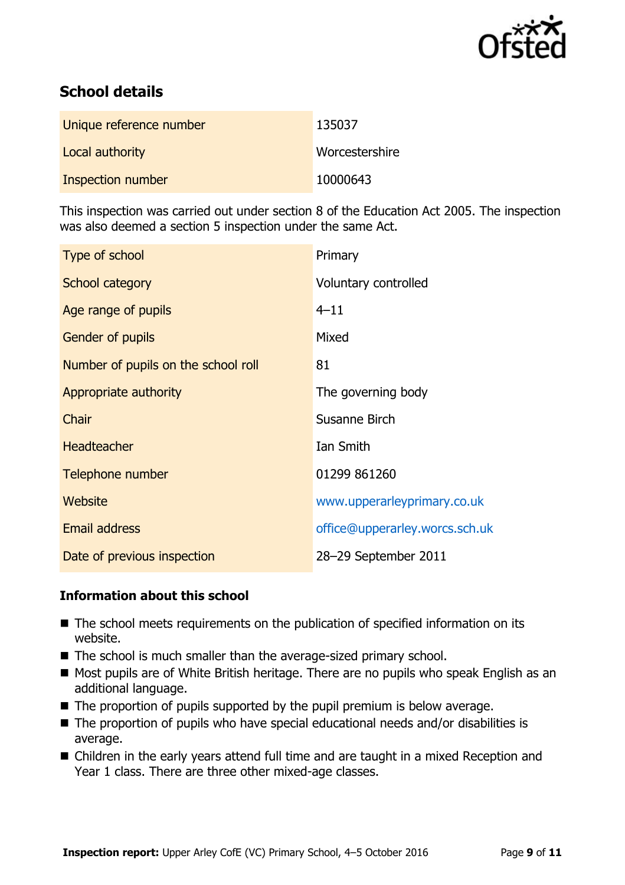

# **School details**

| Unique reference number | 135037         |
|-------------------------|----------------|
| Local authority         | Worcestershire |
| Inspection number       | 10000643       |

This inspection was carried out under section 8 of the Education Act 2005. The inspection was also deemed a section 5 inspection under the same Act.

| Type of school                      | Primary                        |
|-------------------------------------|--------------------------------|
| School category                     | Voluntary controlled           |
| Age range of pupils                 | $4 - 11$                       |
| Gender of pupils                    | Mixed                          |
| Number of pupils on the school roll | 81                             |
| Appropriate authority               | The governing body             |
| Chair                               | Susanne Birch                  |
| <b>Headteacher</b>                  | Ian Smith                      |
| Telephone number                    | 01299 861260                   |
| Website                             | www.upperarleyprimary.co.uk    |
| <b>Email address</b>                | office@upperarley.worcs.sch.uk |
| Date of previous inspection         | 28-29 September 2011           |

### **Information about this school**

- The school meets requirements on the publication of specified information on its website.
- The school is much smaller than the average-sized primary school.
- Most pupils are of White British heritage. There are no pupils who speak English as an additional language.
- $\blacksquare$  The proportion of pupils supported by the pupil premium is below average.
- The proportion of pupils who have special educational needs and/or disabilities is average.
- Children in the early years attend full time and are taught in a mixed Reception and Year 1 class. There are three other mixed-age classes.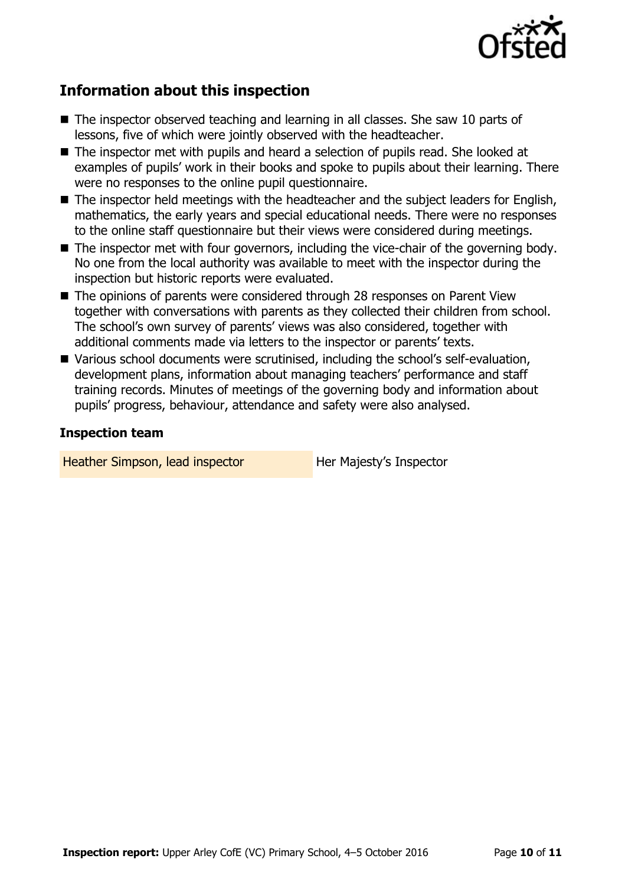

## **Information about this inspection**

- The inspector observed teaching and learning in all classes. She saw 10 parts of lessons, five of which were jointly observed with the headteacher.
- The inspector met with pupils and heard a selection of pupils read. She looked at examples of pupils' work in their books and spoke to pupils about their learning. There were no responses to the online pupil questionnaire.
- The inspector held meetings with the headteacher and the subject leaders for English, mathematics, the early years and special educational needs. There were no responses to the online staff questionnaire but their views were considered during meetings.
- The inspector met with four governors, including the vice-chair of the governing body. No one from the local authority was available to meet with the inspector during the inspection but historic reports were evaluated.
- The opinions of parents were considered through 28 responses on Parent View together with conversations with parents as they collected their children from school. The school's own survey of parents' views was also considered, together with additional comments made via letters to the inspector or parents' texts.
- Various school documents were scrutinised, including the school's self-evaluation, development plans, information about managing teachers' performance and staff training records. Minutes of meetings of the governing body and information about pupils' progress, behaviour, attendance and safety were also analysed.

### **Inspection team**

Heather Simpson, lead inspector **Her Majesty's Inspector**